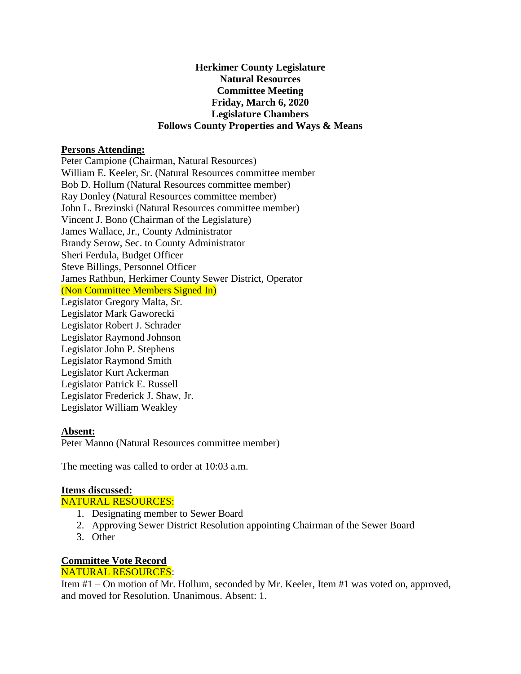#### **Herkimer County Legislature Natural Resources Committee Meeting Friday, March 6, 2020 Legislature Chambers Follows County Properties and Ways & Means**

#### **Persons Attending:**

Peter Campione (Chairman, Natural Resources) William E. Keeler, Sr. (Natural Resources committee member Bob D. Hollum (Natural Resources committee member) Ray Donley (Natural Resources committee member) John L. Brezinski (Natural Resources committee member) Vincent J. Bono (Chairman of the Legislature) James Wallace, Jr., County Administrator Brandy Serow, Sec. to County Administrator Sheri Ferdula, Budget Officer Steve Billings, Personnel Officer James Rathbun, Herkimer County Sewer District, Operator (Non Committee Members Signed In) Legislator Gregory Malta, Sr. Legislator Mark Gaworecki Legislator Robert J. Schrader Legislator Raymond Johnson Legislator John P. Stephens Legislator Raymond Smith Legislator Kurt Ackerman Legislator Patrick E. Russell Legislator Frederick J. Shaw, Jr. Legislator William Weakley

## **Absent:**

Peter Manno (Natural Resources committee member)

The meeting was called to order at 10:03 a.m.

## **Items discussed:**

NATURAL RESOURCES:

- 1. Designating member to Sewer Board
- 2. Approving Sewer District Resolution appointing Chairman of the Sewer Board
- 3. Other

# **Committee Vote Record**

# NATURAL RESOURCES:

Item #1 – On motion of Mr. Hollum, seconded by Mr. Keeler, Item #1 was voted on, approved, and moved for Resolution. Unanimous. Absent: 1.